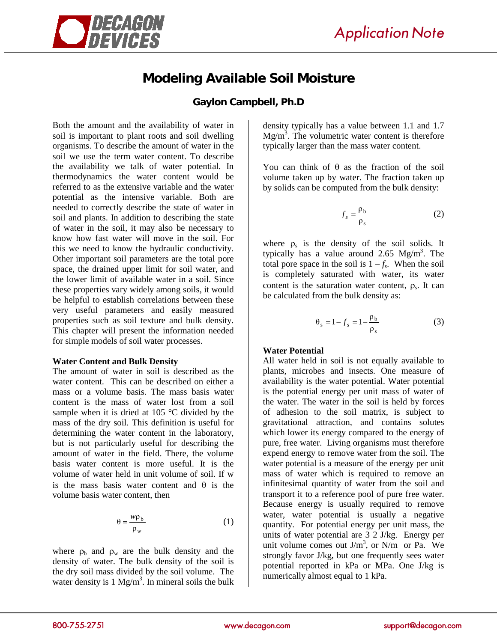

# **Modeling Available Soil Moisture**

## **Gaylon Campbell, Ph.D**

Both the amount and the availability of water in soil is important to plant roots and soil dwelling organisms. To describe the amount of water in the soil we use the term water content. To describe the availability we talk of water potential. In thermodynamics the water content would be referred to as the extensive variable and the water potential as the intensive variable. Both are needed to correctly describe the state of water in soil and plants. In addition to describing the state of water in the soil, it may also be necessary to know how fast water will move in the soil. For this we need to know the hydraulic conductivity. Other important soil parameters are the total pore space, the drained upper limit for soil water, and the lower limit of available water in a soil. Since these properties vary widely among soils, it would be helpful to establish correlations between these very useful parameters and easily measured properties such as soil texture and bulk density. This chapter will present the information needed for simple models of soil water processes.

#### **Water Content and Bulk Density**

The amount of water in soil is described as the water content. This can be described on either a mass or a volume basis. The mass basis water content is the mass of water lost from a soil sample when it is dried at 105 °C divided by the mass of the dry soil. This definition is useful for determining the water content in the laboratory, but is not particularly useful for describing the amount of water in the field. There, the volume basis water content is more useful. It is the volume of water held in unit volume of soil. If w is the mass basis water content and  $\theta$  is the volume basis water content, then

$$
\theta = \frac{w\rho_b}{\rho_w} \tag{1}
$$

where  $\rho_b$  and  $\rho_w$  are the bulk density and the density of water. The bulk density of the soil is the dry soil mass divided by the soil volume. The water density is  $1 \text{ Mg/m}^3$ . In mineral soils the bulk density typically has a value between 1.1 and 1.7  $Mg/m<sup>3</sup>$ . The volumetric water content is therefore typically larger than the mass water content.

You can think of  $\theta$  as the fraction of the soil volume taken up by water. The fraction taken up by solids can be computed from the bulk density:

$$
f_s = \frac{\rho_b}{\rho_s} \tag{2}
$$

where  $\rho_s$  is the density of the soil solids. It typically has a value around 2.65  $Mg/m<sup>3</sup>$ . The total pore space in the soil is  $1 - f_s$ . When the soil is completely saturated with water, its water content is the saturation water content,  $\rho_s$ . It can be calculated from the bulk density as:

$$
\theta_s = 1 - f_s = 1 - \frac{\rho_b}{\rho_s} \tag{3}
$$

### **Water Potential**

All water held in soil is not equally available to plants, microbes and insects. One measure of availability is the water potential. Water potential is the potential energy per unit mass of water of the water. The water in the soil is held by forces of adhesion to the soil matrix, is subject to gravitational attraction, and contains solutes which lower its energy compared to the energy of pure, free water. Living organisms must therefore expend energy to remove water from the soil. The water potential is a measure of the energy per unit mass of water which is required to remove an infinitesimal quantity of water from the soil and transport it to a reference pool of pure free water. Because energy is usually required to remove water, water potential is usually a negative quantity. For potential energy per unit mass, the units of water potential are 3 2 J/kg. Energy per unit volume comes out  $J/m<sup>3</sup>$ , or N/m or Pa. We strongly favor J/kg, but one frequently sees water potential reported in kPa or MPa. One J/kg is numerically almost equal to 1 kPa.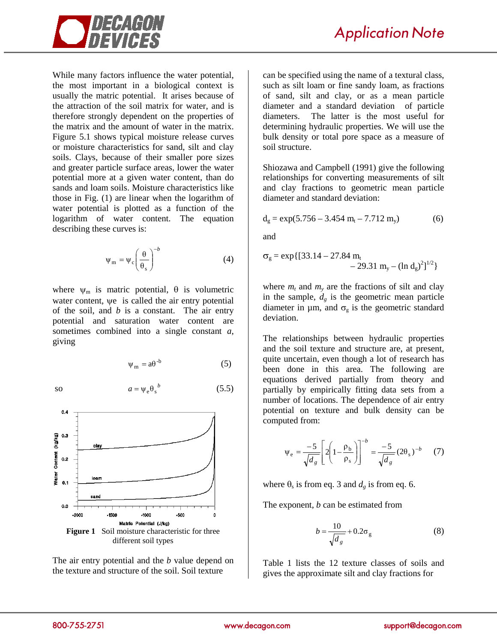

While many factors influence the water potential, the most important in a biological context is usually the matric potential. It arises because of the attraction of the soil matrix for water, and is therefore strongly dependent on the properties of the matrix and the amount of water in the matrix. Figure 5.1 shows typical moisture release curves or moisture characteristics for sand, silt and clay soils. Clays, because of their smaller pore sizes and greater particle surface areas, lower the water potential more at a given water content, than do sands and loam soils. Moisture characteristics like those in Fig. (1) are linear when the logarithm of water potential is plotted as a function of the logarithm of water content. The equation describing these curves is:

$$
\Psi_{\rm m} = \Psi_{\rm c} \left( \frac{\theta}{\theta_{\rm s}} \right)^{-b} \tag{4}
$$

where  $\psi_m$  is matric potential,  $\theta$  is volumetric water content, ψe is called the air entry potential of the soil, and *b* is a constant. The air entry potential and saturation water content are sometimes combined into a single constant *a*, giving

$$
\psi_{m} = a\theta^{-b} \tag{5}
$$

so  $a = \psi_e \theta_s^b$  (5.5)



The air entry potential and the *b* value depend on the texture and structure of the soil. Soil texture

can be specified using the name of a textural class, such as silt loam or fine sandy loam, as fractions of sand, silt and clay, or as a mean particle diameter and a standard deviation of particle diameters. The latter is the most useful for determining hydraulic properties. We will use the bulk density or total pore space as a measure of soil structure.

Shiozawa and Campbell (1991) give the following relationships for converting measurements of silt and clay fractions to geometric mean particle diameter and standard deviation:

$$
d_g = \exp(5.756 - 3.454 m_t - 7.712 m_y)
$$
 (6)

and

$$
\sigma_{g} = \exp\{[33.14 - 27.84 \text{ m}_{t} - 29.31 \text{ m}_{y} - (\ln d_{g})^{2}]^{1/2}\}
$$

where  $m_t$  and  $m_y$  are the fractions of silt and clay in the sample,  $d_g$  is the geometric mean particle diameter in  $\mu$ m, and  $\sigma_g$  is the geometric standard deviation.

The relationships between hydraulic properties and the soil texture and structure are, at present, quite uncertain, even though a lot of research has been done in this area. The following are equations derived partially from theory and partially by empirically fitting data sets from a number of locations. The dependence of air entry potential on texture and bulk density can be computed from:

$$
\Psi_{\rm e} = \frac{-5}{\sqrt{d_g}} \left[ 2 \left( 1 - \frac{\rho_{\rm b}}{\rho_{\rm s}} \right) \right]^{-b} = \frac{-5}{\sqrt{d_g}} (2 \theta_{\rm s})^{-b} \tag{7}
$$

where  $\theta_s$  is from eq. 3 and  $d_g$  is from eq. 6.

The exponent, *b* can be estimated from

$$
b = \frac{10}{\sqrt{d_s}} + 0.2\sigma_g \tag{8}
$$

Table 1 lists the 12 texture classes of soils and gives the approximate silt and clay fractions for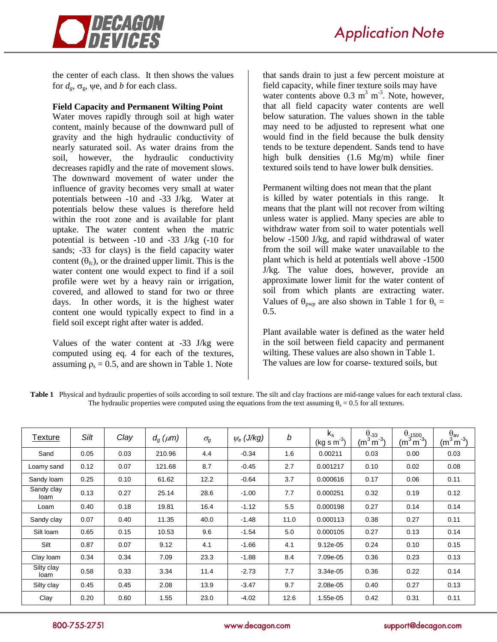

the center of each class. It then shows the values for  $d_{\varrho}$ ,  $\sigma_{\varrho}$ , we, and *b* for each class.

#### **Field Capacity and Permanent Wilting Point**

Water moves rapidly through soil at high water content, mainly because of the downward pull of gravity and the high hydraulic conductivity of nearly saturated soil. As water drains from the soil, however, the hydraulic conductivity decreases rapidly and the rate of movement slows. The downward movement of water under the influence of gravity becomes very small at water potentials between -10 and -33 J/kg. Water at potentials below these values is therefore held within the root zone and is available for plant uptake. The water content when the matric potential is between -10 and -33 J/kg (-10 for sands; -33 for clays) is the field capacity water content  $(\theta_{fc})$ , or the drained upper limit. This is the water content one would expect to find if a soil profile were wet by a heavy rain or irrigation, covered, and allowed to stand for two or three days. In other words, it is the highest water content one would typically expect to find in a field soil except right after water is added.

Values of the water content at -33 J/kg were computed using eq. 4 for each of the textures, assuming  $\rho_s = 0.5$ , and are shown in Table 1. Note

that sands drain to just a few percent moisture at field capacity, while finer texture soils may have water contents above  $0.3 \text{ m}^3 \text{ m}^3$ . Note, however, that all field capacity water contents are well below saturation. The values shown in the table may need to be adjusted to represent what one would find in the field because the bulk density tends to be texture dependent. Sands tend to have high bulk densities (1.6 Mg/m) while finer textured soils tend to have lower bulk densities.

Permanent wilting does not mean that the plant is killed by water potentials in this range. It means that the plant will not recover from wilting unless water is applied. Many species are able to withdraw water from soil to water potentials well below -1500 J/kg, and rapid withdrawal of water from the soil will make water unavailable to the plant which is held at potentials well above -1500 J/kg. The value does, however, provide an approximate lower limit for the water content of soil from which plants are extracting water. Values of  $\theta_{\text{pwp}}$  are also shown in Table 1 for  $\theta_s =$ 0.5.

Plant available water is defined as the water held in the soil between field capacity and permanent wilting. These values are also shown in Table 1. The values are low for coarse- textured soils, but

**Table 1** Physical and hydraulic properties of soils according to soil texture. The silt and clay fractions are mid-range values for each textural class. The hydraulic properties were computed using the equations from the text assuming  $\theta_s = 0.5$  for all textures.

| Texture            | Silt | Clay | $d_g(\mu m)$ | $\sigma_g$ | $\psi_e$ (J/kg) | $\it{b}$ | $k_{s}$<br>$(kg s m-3)$ | $\frac{\theta_{-33}}{(\underline{m}^3 \underline{m}^{-3})}$ | $\frac{\theta_{-1500}}{(m^3 m^3)}$ | $\frac{\theta_{av}}{(m^3 m^3)}$ |
|--------------------|------|------|--------------|------------|-----------------|----------|-------------------------|-------------------------------------------------------------|------------------------------------|---------------------------------|
| Sand               | 0.05 | 0.03 | 210.96       | 4.4        | $-0.34$         | 1.6      | 0.00211                 | 0.03                                                        | 0.00                               | 0.03                            |
| Loamy sand         | 0.12 | 0.07 | 121.68       | 8.7        | $-0.45$         | 2.7      | 0.001217                | 0.10                                                        | 0.02                               | 0.08                            |
| Sandy Ioam         | 0.25 | 0.10 | 61.62        | 12.2       | $-0.64$         | 3.7      | 0.000616                | 0.17                                                        | 0.06                               | 0.11                            |
| Sandy clay<br>loam | 0.13 | 0.27 | 25.14        | 28.6       | $-1.00$         | 7.7      | 0.000251                | 0.32                                                        | 0.19                               | 0.12                            |
| Loam               | 0.40 | 0.18 | 19.81        | 16.4       | $-1.12$         | 5.5      | 0.000198                | 0.27                                                        | 0.14                               | 0.14                            |
| Sandy clay         | 0.07 | 0.40 | 11.35        | 40.0       | $-1.48$         | 11.0     | 0.000113                | 0.38                                                        | 0.27                               | 0.11                            |
| Silt loam          | 0.65 | 0.15 | 10.53        | 9.6        | $-1.54$         | 5.0      | 0.000105                | 0.27                                                        | 0.13                               | 0.14                            |
| Silt               | 0.87 | 0.07 | 9.12         | 4.1        | $-1.66$         | 4.1      | 9.12e-05                | 0.24                                                        | 0.10                               | 0.15                            |
| Clay Ioam          | 0.34 | 0.34 | 7.09         | 23.3       | $-1.88$         | 8.4      | 7.09e-05                | 0.36                                                        | 0.23                               | 0.13                            |
| Silty clay<br>loam | 0.58 | 0.33 | 3.34         | 11.4       | $-2.73$         | 7.7      | 3.34e-05                | 0.36                                                        | 0.22                               | 0.14                            |
| Silty clay         | 0.45 | 0.45 | 2.08         | 13.9       | $-3.47$         | 9.7      | 2.08e-05                | 0.40                                                        | 0.27                               | 0.13                            |
| Clay               | 0.20 | 0.60 | 1.55         | 23.0       | $-4.02$         | 12.6     | 1.55e-05                | 0.42                                                        | 0.31                               | 0.11                            |